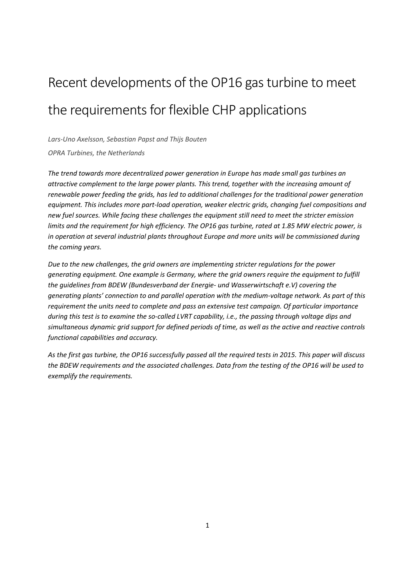# Recent developments of the OP16 gas turbine to meet the requirements for flexible CHP applications

*Lars-Uno Axelsson, Sebastian Papst and Thijs Bouten*

*OPRA Turbines, the Netherlands*

*The trend towards more decentralized power generation in Europe has made small gas turbines an attractive complement to the large power plants. This trend, together with the increasing amount of renewable power feeding the grids, has led to additional challenges for the traditional power generation equipment. This includes more part-load operation, weaker electric grids, changing fuel compositions and new fuel sources. While facing these challenges the equipment still need to meet the stricter emission limits and the requirement for high efficiency. The OP16 gas turbine, rated at 1.85 MW electric power, is in operation at several industrial plants throughout Europe and more units will be commissioned during the coming years.* 

*Due to the new challenges, the grid owners are implementing stricter regulations for the power generating equipment. One example is Germany, where the grid owners require the equipment to fulfill the guidelines from BDEW (Bundesverband der Energie- und Wasserwirtschaft e.V) covering the generating plants' connection to and parallel operation with the medium-voltage network. As part of this requirement the units need to complete and pass an extensive test campaign. Of particular importance during this test is to examine the so-called LVRT capability, i.e., the passing through voltage dips and simultaneous dynamic grid support for defined periods of time, as well as the active and reactive controls functional capabilities and accuracy.* 

*As the first gas turbine, the OP16 successfully passed all the required tests in 2015. This paper will discuss the BDEW requirements and the associated challenges. Data from the testing of the OP16 will be used to exemplify the requirements.*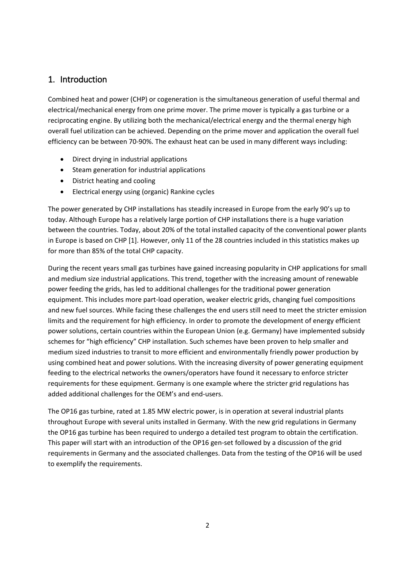## 1. Introduction

Combined heat and power (CHP) or cogeneration is the simultaneous generation of useful thermal and electrical/mechanical energy from one prime mover. The prime mover is typically a gas turbine or a reciprocating engine. By utilizing both the mechanical/electrical energy and the thermal energy high overall fuel utilization can be achieved. Depending on the prime mover and application the overall fuel efficiency can be between 70-90%. The exhaust heat can be used in many different ways including:

- Direct drying in industrial applications
- Steam generation for industrial applications
- $\bullet$  District heating and cooling
- Electrical energy using (organic) Rankine cycles

The power generated by CHP installations has steadily increased in Europe from the early 90's up to today. Although Europe has a relatively large portion of CHP installations there is a huge variation between the countries. Today, about 20% of the total installed capacity of the conventional power plants in Europe is based on CHP [1]. However, only 11 of the 28 countries included in this statistics makes up for more than 85% of the total CHP capacity.

During the recent years small gas turbines have gained increasing popularity in CHP applications for small and medium size industrial applications. This trend, together with the increasing amount of renewable power feeding the grids, has led to additional challenges for the traditional power generation equipment. This includes more part-load operation, weaker electric grids, changing fuel compositions and new fuel sources. While facing these challenges the end users still need to meet the stricter emission limits and the requirement for high efficiency. In order to promote the development of energy efficient power solutions, certain countries within the European Union (e.g. Germany) have implemented subsidy schemes for "high efficiency" CHP installation. Such schemes have been proven to help smaller and medium sized industries to transit to more efficient and environmentally friendly power production by using combined heat and power solutions. With the increasing diversity of power generating equipment feeding to the electrical networks the owners/operators have found it necessary to enforce stricter requirements for these equipment. Germany is one example where the stricter grid regulations has added additional challenges for the OEM's and end-users.

The OP16 gas turbine, rated at 1.85 MW electric power, is in operation at several industrial plants throughout Europe with several units installed in Germany. With the new grid regulations in Germany the OP16 gas turbine has been required to undergo a detailed test program to obtain the certification. This paper will start with an introduction of the OP16 gen-set followed by a discussion of the grid requirements in Germany and the associated challenges. Data from the testing of the OP16 will be used to exemplify the requirements.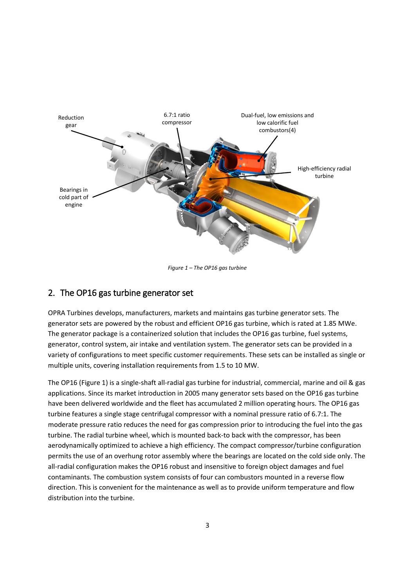

*Figure 1 – The OP16 gas turbine*

## 2. The OP16 gas turbine generator set

OPRA Turbines develops, manufacturers, markets and maintains gas turbine generator sets. The generator sets are powered by the robust and efficient OP16 gas turbine, which is rated at 1.85 MWe. The generator package is a containerized solution that includes the OP16 gas turbine, fuel systems, generator, control system, air intake and ventilation system. The generator sets can be provided in a variety of configurations to meet specific customer requirements. These sets can be installed as single or multiple units, covering installation requirements from 1.5 to 10 MW.

The OP16 (Figure 1) is a single-shaft all-radial gas turbine for industrial, commercial, marine and oil & gas applications. Since its market introduction in 2005 many generator sets based on the OP16 gas turbine have been delivered worldwide and the fleet has accumulated 2 million operating hours. The OP16 gas turbine features a single stage centrifugal compressor with a nominal pressure ratio of 6.7:1. The moderate pressure ratio reduces the need for gas compression prior to introducing the fuel into the gas turbine. The radial turbine wheel, which is mounted back-to back with the compressor, has been aerodynamically optimized to achieve a high efficiency. The compact compressor/turbine configuration permits the use of an overhung rotor assembly where the bearings are located on the cold side only. The all-radial configuration makes the OP16 robust and insensitive to foreign object damages and fuel contaminants. The combustion system consists of four can combustors mounted in a reverse flow direction. This is convenient for the maintenance as well as to provide uniform temperature and flow distribution into the turbine.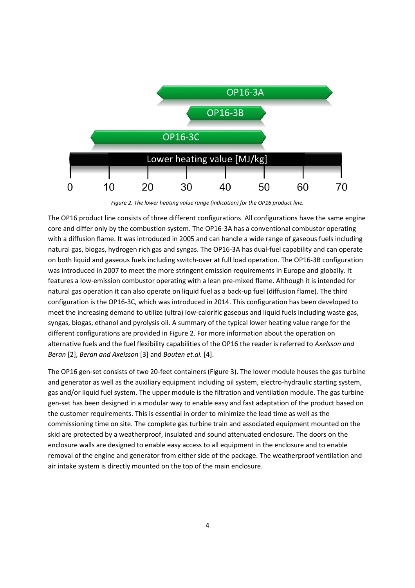

*Figure 2. The lower heating value range (indication) for the OP16 product line.*

The OP16 product line consists of three different configurations. All configurations have the same engine core and differ only by the combustion system. The OP16-3A has a conventional combustor operating with a diffusion flame. It was introduced in 2005 and can handle a wide range of gaseous fuels including natural gas, biogas, hydrogen rich gas and syngas. The OP16-3A has dual-fuel capability and can operate on both liquid and gaseous fuels including switch-over at full load operation. The OP16-3B configuration was introduced in 2007 to meet the more stringent emission requirements in Europe and globally. It features a low-emission combustor operating with a lean pre-mixed flame. Although it is intended for natural gas operation it can also operate on liquid fuel as a back-up fuel (diffusion flame). The third configuration is the OP16-3C, which was introduced in 2014. This configuration has been developed to meet the increasing demand to utilize (ultra) low-calorific gaseous and liquid fuels including waste gas, syngas, biogas, ethanol and pyrolysis oil. A summary of the typical lower heating value range for the different configurations are provided in Figure 2. For more information about the operation on alternative fuels and the fuel flexibility capabilities of the OP16 the reader is referred to *Axelsson and Beran* [2], *Beran and Axelsson* [3] and *Bouten et.al.* [4].

The OP16 gen-set consists of two 20-feet containers (Figure 3). The lower module houses the gas turbine and generator as well as the auxiliary equipment including oil system, electro-hydraulic starting system, gas and/or liquid fuel system. The upper module is the filtration and ventilation module. The gas turbine gen-set has been designed in a modular way to enable easy and fast adaptation of the product based on the customer requirements. This is essential in order to minimize the lead time as well as the commissioning time on site. The complete gas turbine train and associated equipment mounted on the skid are protected by a weatherproof, insulated and sound attenuated enclosure. The doors on the enclosure walls are designed to enable easy access to all equipment in the enclosure and to enable removal of the engine and generator from either side of the package. The weatherproof ventilation and air intake system is directly mounted on the top of the main enclosure.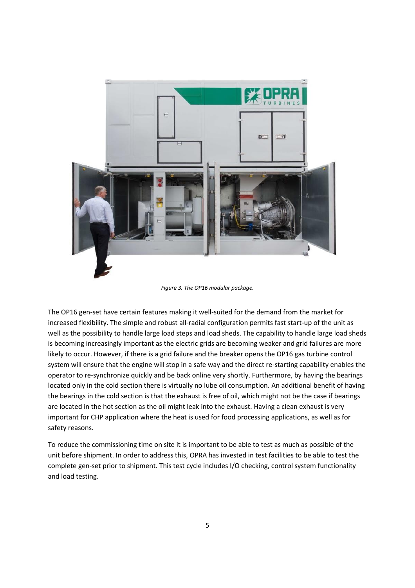

*Figure 3. The OP16 modular package.*

The OP16 gen-set have certain features making it well-suited for the demand from the market for increased flexibility. The simple and robust all-radial configuration permits fast start-up of the unit as well as the possibility to handle large load steps and load sheds. The capability to handle large load sheds is becoming increasingly important as the electric grids are becoming weaker and grid failures are more likely to occur. However, if there is a grid failure and the breaker opens the OP16 gas turbine control system will ensure that the engine will stop in a safe way and the direct re-starting capability enables the operator to re-synchronize quickly and be back online very shortly. Furthermore, by having the bearings located only in the cold section there is virtually no lube oil consumption. An additional benefit of having the bearings in the cold section is that the exhaust is free of oil, which might not be the case if bearings are located in the hot section as the oil might leak into the exhaust. Having a clean exhaust is very important for CHP application where the heat is used for food processing applications, as well as for safety reasons.

To reduce the commissioning time on site it is important to be able to test as much as possible of the unit before shipment. In order to address this, OPRA has invested in test facilities to be able to test the complete gen-set prior to shipment. This test cycle includes I/O checking, control system functionality and load testing.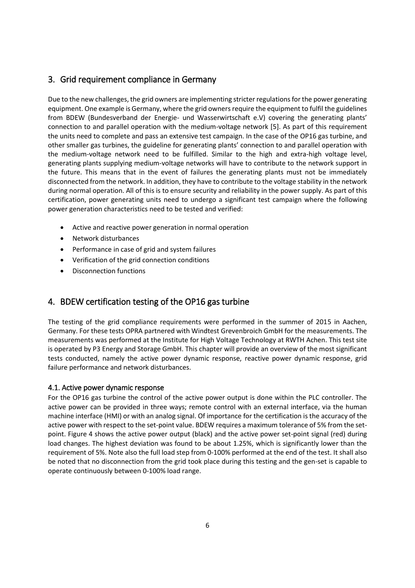## 3. Grid requirement compliance in Germany

Due to the new challenges, the grid owners are implementing stricter regulations for the power generating equipment. One example is Germany, where the grid owners require the equipment to fulfil the guidelines from BDEW (Bundesverband der Energie- und Wasserwirtschaft e.V) covering the generating plants' connection to and parallel operation with the medium-voltage network [5]. As part of this requirement the units need to complete and pass an extensive test campaign. In the case of the OP16 gas turbine, and other smaller gas turbines, the guideline for generating plants' connection to and parallel operation with the medium-voltage network need to be fulfilled. Similar to the high and extra-high voltage level, generating plants supplying medium-voltage networks will have to contribute to the network support in the future. This means that in the event of failures the generating plants must not be immediately disconnected from the network. In addition, they have to contribute to the voltage stability in the network during normal operation. All of this is to ensure security and reliability in the power supply. As part of this certification, power generating units need to undergo a significant test campaign where the following power generation characteristics need to be tested and verified:

- Active and reactive power generation in normal operation
- Network disturbances
- Performance in case of grid and system failures
- x Verification of the grid connection conditions
- Disconnection functions

## 4. BDEW certification testing of the OP16 gas turbine

The testing of the grid compliance requirements were performed in the summer of 2015 in Aachen, Germany. For these tests OPRA partnered with Windtest Grevenbroich GmbH for the measurements. The measurements was performed at the Institute for High Voltage Technology at RWTH Achen. This test site is operated by P3 Energy and Storage GmbH. This chapter will provide an overview of the most significant tests conducted, namely the active power dynamic response, reactive power dynamic response, grid failure performance and network disturbances.

#### 4.1. Active power dynamic response

For the OP16 gas turbine the control of the active power output is done within the PLC controller. The active power can be provided in three ways; remote control with an external interface, via the human machine interface (HMI) or with an analog signal. Of importance for the certification is the accuracy of the active power with respect to the set-point value. BDEW requires a maximum tolerance of 5% from the setpoint. Figure 4 shows the active power output (black) and the active power set-point signal (red) during load changes. The highest deviation was found to be about 1.25%, which is significantly lower than the requirement of 5%. Note also the full load step from 0-100% performed at the end of the test. It shall also be noted that no disconnection from the grid took place during this testing and the gen-set is capable to operate continuously between 0-100% load range.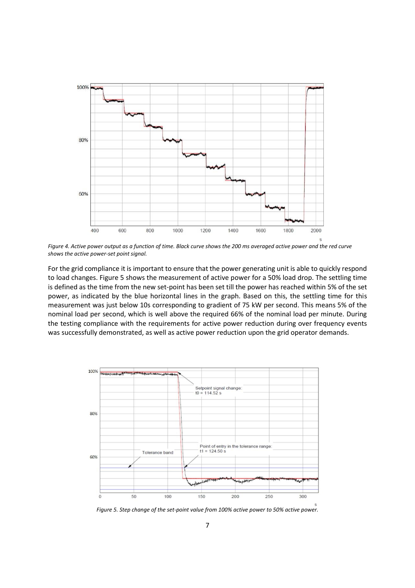

*Figure 4. Active power output as a function of time. Black curve shows the 200 ms averaged active power and the red curve shows the active power-set point signal.*

For the grid compliance it is important to ensure that the power generating unit is able to quickly respond to load changes. Figure 5 shows the measurement of active power for a 50% load drop. The settling time is defined as the time from the new set-point has been set till the power has reached within 5% of the set power, as indicated by the blue horizontal lines in the graph. Based on this, the settling time for this measurement was just below 10s corresponding to gradient of 75 kW per second. This means 5% of the nominal load per second, which is well above the required 66% of the nominal load per minute. During the testing compliance with the requirements for active power reduction during over frequency events was successfully demonstrated, as well as active power reduction upon the grid operator demands.



*Figure 5. Step change of the set-point value from 100% active power to 50% active power.*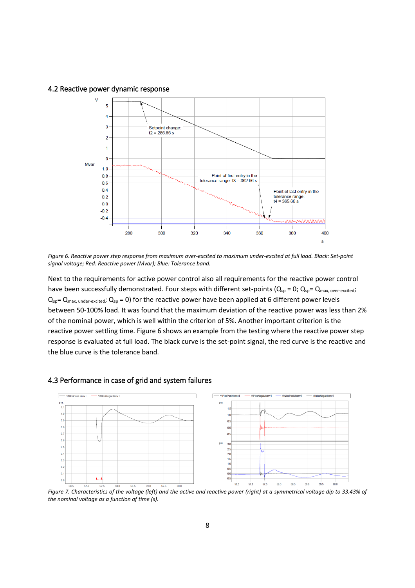4.2 Reactive power dynamic response



*Figure 6. Reactive power step response from maximum over-excited to maximum under-excited at full load. Black: Set-point signal voltage; Red: Reactive power (Mvar); Blue: Tolerance band.*

Next to the requirements for active power control also all requirements for the reactive power control have been successfully demonstrated. Four steps with different set-points ( $Q_{sp} = 0$ ;  $Q_{sp} = Q_{max, over-excited}$ ;  $Q_{sp} = Q_{max, under-ex cited}$ ;  $Q_{sp} = 0$ ) for the reactive power have been applied at 6 different power levels between 50-100% load. It was found that the maximum deviation of the reactive power was less than 2% of the nominal power, which is well within the criterion of 5%. Another important criterion is the reactive power settling time. Figure 6 shows an example from the testing where the reactive power step response is evaluated at full load. The black curve is the set-point signal, the red curve is the reactive and the blue curve is the tolerance band.



#### 4.3 Performance in case of grid and system failures

*Figure 7. Characteristics of the voltage (left) and the active and reactive power (right) at a symmetrical voltage dip to 33.43% of the nominal voltage as a function of time (s).*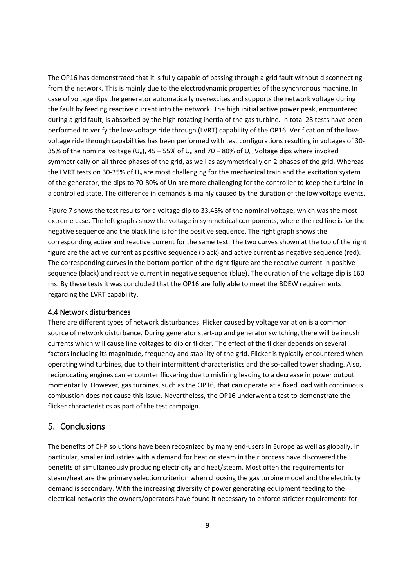The OP16 has demonstrated that it is fully capable of passing through a grid fault without disconnecting from the network. This is mainly due to the electrodynamic properties of the synchronous machine. In case of voltage dips the generator automatically overexcites and supports the network voltage during the fault by feeding reactive current into the network. The high initial active power peak, encountered during a grid fault, is absorbed by the high rotating inertia of the gas turbine. In total 28 tests have been performed to verify the low-voltage ride through (LVRT) capability of the OP16. Verification of the lowvoltage ride through capabilities has been performed with test configurations resulting in voltages of 30- 35% of the nominal voltage ( $U_n$ ), 45 – 55% of  $U_n$  and 70 – 80% of  $U_n$ . Voltage dips where invoked symmetrically on all three phases of the grid, as well as asymmetrically on 2 phases of the grid. Whereas the LVRT tests on 30-35% of U<sub>n</sub> are most challenging for the mechanical train and the excitation system of the generator, the dips to 70-80% of Un are more challenging for the controller to keep the turbine in a controlled state. The difference in demands is mainly caused by the duration of the low voltage events.

Figure 7 shows the test results for a voltage dip to 33.43% of the nominal voltage, which was the most extreme case. The left graphs show the voltage in symmetrical components, where the red line is for the negative sequence and the black line is for the positive sequence. The right graph shows the corresponding active and reactive current for the same test. The two curves shown at the top of the right figure are the active current as positive sequence (black) and active current as negative sequence (red). The corresponding curves in the bottom portion of the right figure are the reactive current in positive sequence (black) and reactive current in negative sequence (blue). The duration of the voltage dip is 160 ms. By these tests it was concluded that the OP16 are fully able to meet the BDEW requirements regarding the LVRT capability.

#### 4.4 Network disturbances

There are different types of network disturbances. Flicker caused by voltage variation is a common source of network disturbance. During generator start-up and generator switching, there will be inrush currents which will cause line voltages to dip or flicker. The effect of the flicker depends on several factors including its magnitude, frequency and stability of the grid. Flicker is typically encountered when operating wind turbines, due to their intermittent characteristics and the so-called tower shading. Also, reciprocating engines can encounter flickering due to misfiring leading to a decrease in power output momentarily. However, gas turbines, such as the OP16, that can operate at a fixed load with continuous combustion does not cause this issue. Nevertheless, the OP16 underwent a test to demonstrate the flicker characteristics as part of the test campaign.

#### 5. Conclusions

The benefits of CHP solutions have been recognized by many end-users in Europe as well as globally. In particular, smaller industries with a demand for heat or steam in their process have discovered the benefits of simultaneously producing electricity and heat/steam. Most often the requirements for steam/heat are the primary selection criterion when choosing the gas turbine model and the electricity demand is secondary. With the increasing diversity of power generating equipment feeding to the electrical networks the owners/operators have found it necessary to enforce stricter requirements for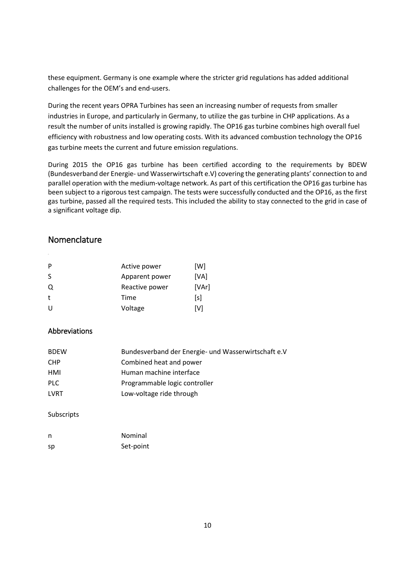these equipment. Germany is one example where the stricter grid regulations has added additional challenges for the OEM's and end-users.

During the recent years OPRA Turbines has seen an increasing number of requests from smaller industries in Europe, and particularly in Germany, to utilize the gas turbine in CHP applications. As a result the number of units installed is growing rapidly. The OP16 gas turbine combines high overall fuel efficiency with robustness and low operating costs. With its advanced combustion technology the OP16 gas turbine meets the current and future emission regulations.

During 2015 the OP16 gas turbine has been certified according to the requirements by BDEW (Bundesverband der Energie- und Wasserwirtschaft e.V) covering the generating plants' connection to and parallel operation with the medium-voltage network. As part of this certification the OP16 gas turbine has been subject to a rigorous test campaign. The tests were successfully conducted and the OP16, as the first gas turbine, passed all the required tests. This included the ability to stay connected to the grid in case of a significant voltage dip.

### Nomenclature

| P | Active power   | [W]   |
|---|----------------|-------|
| S | Apparent power | [VA]  |
| Q | Reactive power | [VAr] |
| t | Time           | [s]   |
| U | Voltage        | [V]   |

#### Abbreviations

| <b>BDEW</b> | Bundesverband der Energie- und Wasserwirtschaft e.V |
|-------------|-----------------------------------------------------|
| <b>CHP</b>  | Combined heat and power                             |
| HMI         | Human machine interface                             |
| <b>PLC</b>  | Programmable logic controller                       |
| LVRT        | Low-voltage ride through                            |

Subscripts

| n  | Nominal   |
|----|-----------|
| sp | Set-point |